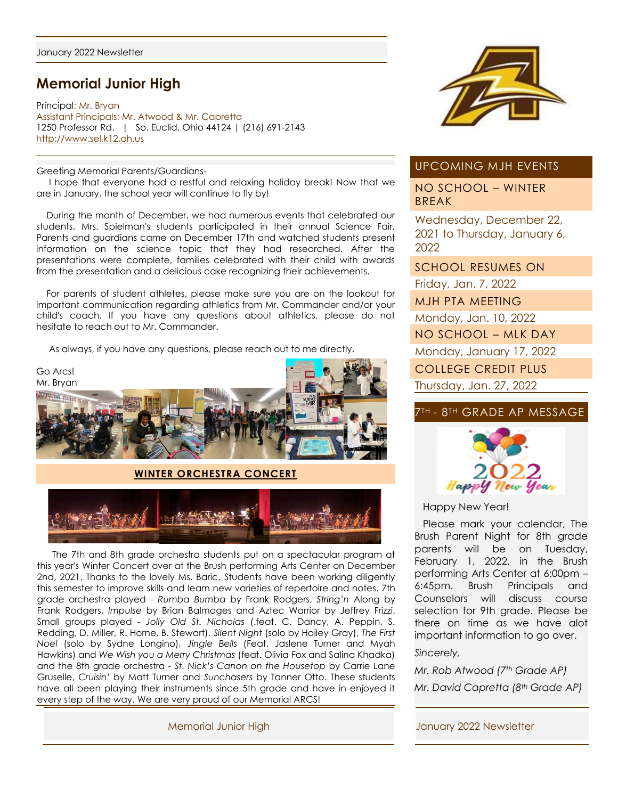# **Memorial Junior High**

Principal: Mr. Bryan Assistant Principals: Mr. Atwood & Mr. Capretta 1250 Professor Rd. | So. Euclid, Ohio 44124 | (216) 691-2143 [http://www.sel.k12.oh.us](http://www.sel.k12.oh.us/)

Greeting Memorial Parents/Guardians-

 I hope that everyone had a restful and relaxing holiday break! Now that we are in January, the school year will continue to fly by!

 During the month of December, we had numerous events that celebrated our students. Mrs. Spielman's students participated in their annual Science Fair. Parents and guardians came on December 17th and watched students present information on the science topic that they had researched. After the presentations were complete, families celebrated with their child with awards from the presentation and a delicious cake recognizing their achievements.

 For parents of student athletes, please make sure you are on the lookout for important communication regarding athletics from Mr. Commander and/or your child's coach. If you have any questions about athletics, please do not hesitate to reach out to Mr. Commander.

As always, if you have any questions, please reach out to me directly.



#### **WINTER ORCHESTRA CONCERT**



 The 7th and 8th grade orchestra students put on a spectacular program at this year's Winter Concert over at the Brush performing Arts Center on December 2nd, 2021. Thanks to the lovely Ms. Baric, Students have been working diligently this semester to improve skills and learn new varieties of repertoire and notes. 7th grade orchestra played - *Rumba Bumba* by Frank Rodgers, *String'n* Along by Frank Rodgers, *Impulse* by Brian Balmages and Aztec Warrior by Jeffrey Frizzi. Small groups played - *Jolly Old St. Nicholas* (.feat. C. Dancy, A. Peppin, S. Redding, D. Miller, R. Horne, B. Stewart), *Silent Night* (solo by Hailey Gray), *The First Noel* (solo by Sydne Longino), *Jingle Bells* (Feat. Jaslene Turner and Myah Hawkins) and *We Wish you a Merry Christmas* (feat. Olivia Fox and Salina Khadka) and the 8th grade orchestra - *St. Nick's Canon on the Housetop* by Carrie Lane Gruselle, *Cruisin'* by Matt Turner and *Sunchasers* by Tanner Otto. These students have all been playing their instruments since 5th grade and have in enjoyed it every step of the way. We are very proud of our Memorial ARCS!



## UPCOMING MJH EVENTS

NO SCHOOL – WINTER BREAK

Wednesday, December 22, 2021 to Thursday, January 6, 2022

SCHOOL RESUMES ON

Friday, Jan. 7, 2022

MJH PTA MEETING

Monday, Jan. 10, 2022

NO SCHOOL – MLK DAY

Monday, January 17, 2022

COLLEGE CREDIT PLUS

Thursday, Jan. 27, 2022

# 7TH - 8TH GRADE AP MESSAGE



Happy New Year!

 Please mark your calendar, The Brush Parent Night for 8th grade parents will be on Tuesday, February 1, 2022, in the Brush performing Arts Center at 6:00pm – 6:45pm. Brush Principals and Counselors will discuss course selection for 9th grade. Please be there on time as we have alot important information to go over.

*Sincerely,*

*Mr. Rob Atwood (7th Grade AP) Mr. David Capretta (8th Grade AP)*

Memorial Junior High January 2022 Newsletter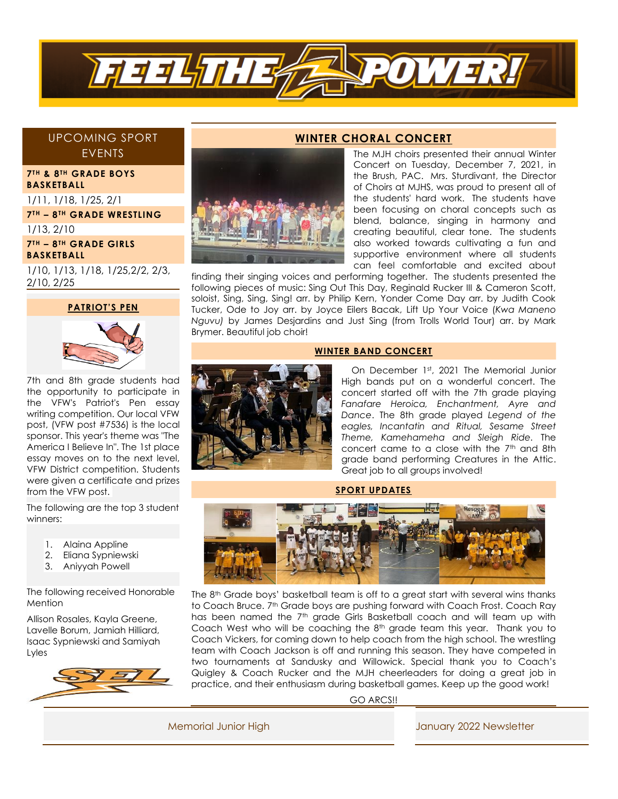

# UPCOMING SPORT EVENTS

**7 TH & 8TH GRADE BOYS BASKETBALL** 

1/11, 1/18, 1/25, 2/1

**7 TH – 8 TH GRADE WRESTLING** 

1/13, 2/10

**7TH – 8TH GRADE GIRLS BASKETBALL** 

1/10, 1/13, 1/18, 1/25,2/2, 2/3, 2/10, 2/25

#### **PATRIOT'S PEN**



7th and 8th grade students had the opportunity to participate in the VFW's Patriot's Pen essay writing competition. Our local VFW post, (VFW post #7536) is the local sponsor. This year's theme was "The America I Believe In". The 1st place essay moves on to the next level, VFW District competition. Students were given a certificate and prizes from the VFW post.

The following are the top 3 student winners:

- 1. Alaina Appline
- 2. Eliana Sypniewski
- 3. Aniyyah Powell

The following received Honorable Mention

Allison Rosales, Kayla Greene, Lavelle Borum, Jamiah Hilliard, Isaac Sypniewski and Samiyah Lyles



### **WINTER CHORAL CONCERT**

The MJH choirs presented their annual Winter Concert on Tuesday, December 7, 2021, in the Brush, PAC. Mrs. Sturdivant, the Director of Choirs at MJHS, was proud to present all of the students' hard work. The students have been focusing on choral concepts such as blend, balance, singing in harmony and creating beautiful, clear tone. The students also worked towards cultivating a fun and supportive environment where all students can feel comfortable and excited about

finding their singing voices and performing together. The students presented the following pieces of music: Sing Out This Day, Reginald Rucker III & Cameron Scott, soloist, Sing, Sing, Sing! arr. by Philip Kern, Yonder Come Day arr. by Judith Cook Tucker, Ode to Joy arr. by Joyce Eilers Bacak, Lift Up Your Voice (*Kwa Maneno Nguvu)* by James Desjardins and Just Sing (from Trolls World Tour) arr. by Mark Brymer. Beautiful job choir!

#### **WINTER BAND CONCERT**



On December 1st, 2021 The Memorial Junior High bands put on a wonderful concert. The concert started off with the 7th grade playing *Fanafare Heroica, Enchantment, Ayre and Dance*. The 8th grade played *Legend of the eagles, Incantatin and Ritual, Sesame Street Theme, Kamehameha and Sleigh Ride.* The concert came to a close with the 7 th and 8th grade band performing Creatures in the Attic. Great job to all groups involved!

#### **SPORT UPDATES**



The 8<sup>th</sup> Grade boys' basketball team is off to a great start with several wins thanks to Coach Bruce. 7<sup>th</sup> Grade boys are pushing forward with Coach Frost. Coach Ray has been named the 7<sup>th</sup> grade Girls Basketball coach and will team up with Coach West who will be coaching the 8th grade team this year. Thank you to Coach Vickers, for coming down to help coach from the high school. The wrestling team with Coach Jackson is off and running this season. They have competed in two tournaments at Sandusky and Willowick. Special thank you to Coach's Quigley & Coach Rucker and the MJH cheerleaders for doing a great job in practice, and their enthusiasm during basketball games. Keep up the good work!

GO ARCS!!

Memorial Junior High January 2022 Newsletter